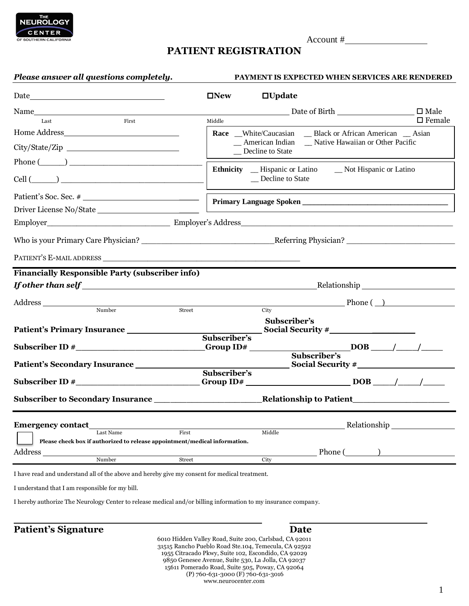

## **PATIENT REGISTRATION**

| Please answer all questions completely.                                                                                                                                                                                        |                                                                                                                | <b>PAYMENT IS EXPECTED WHEN SERVICES ARE RENDERED</b>                                                                                                                                                                               |                  |
|--------------------------------------------------------------------------------------------------------------------------------------------------------------------------------------------------------------------------------|----------------------------------------------------------------------------------------------------------------|-------------------------------------------------------------------------------------------------------------------------------------------------------------------------------------------------------------------------------------|------------------|
| ${\it Date} \underline{\hspace{1cm}} \underline{\hspace{1cm}}$                                                                                                                                                                 | $\square$ New                                                                                                  | $\Box$ Update                                                                                                                                                                                                                       |                  |
|                                                                                                                                                                                                                                |                                                                                                                | <b>Example 2018</b> Date of Birth 2018 and 2018 and 2018 and 2018 and 2018 and 2018 and 2018 and 2018 and 2018 and 2018 and 2018 and 2018 and 2018 and 2018 and 2018 and 2018 and 2018 and 2018 and 2018 and 2018 and 2018 and 2018 | $\square$ Male   |
| First<br>Last                                                                                                                                                                                                                  | Middle                                                                                                         |                                                                                                                                                                                                                                     | $\square$ Female |
| Home Address have a series of the series of the series of the series of the series of the series of the series of the series of the series of the series of the series of the series of the series of the series of the series |                                                                                                                | Race _White/Caucasian __ Black or African American __ Asian                                                                                                                                                                         |                  |
| City/State/Zip                                                                                                                                                                                                                 |                                                                                                                | _ American Indian _ Native Hawaiian or Other Pacific<br>_ Decline to State                                                                                                                                                          |                  |
| Phone $(\_\_)$                                                                                                                                                                                                                 |                                                                                                                |                                                                                                                                                                                                                                     |                  |
|                                                                                                                                                                                                                                |                                                                                                                | Ethnicity __ Hispanic or Latino ___ Not Hispanic or Latino<br>_ Decline to State                                                                                                                                                    |                  |
|                                                                                                                                                                                                                                |                                                                                                                |                                                                                                                                                                                                                                     |                  |
|                                                                                                                                                                                                                                |                                                                                                                |                                                                                                                                                                                                                                     |                  |
| Employer Employer Employer's Address Employer's Address Employer's Address and the United States of the United States of the United States of the United States of the United States of the United States of the United States |                                                                                                                |                                                                                                                                                                                                                                     |                  |
|                                                                                                                                                                                                                                |                                                                                                                |                                                                                                                                                                                                                                     |                  |
|                                                                                                                                                                                                                                |                                                                                                                |                                                                                                                                                                                                                                     |                  |
| <b>Financially Responsible Party (subscriber info)</b>                                                                                                                                                                         |                                                                                                                |                                                                                                                                                                                                                                     |                  |
|                                                                                                                                                                                                                                |                                                                                                                |                                                                                                                                                                                                                                     |                  |
|                                                                                                                                                                                                                                |                                                                                                                | $\blacksquare$ Phone ( $\blacksquare$ )                                                                                                                                                                                             |                  |
| Number                                                                                                                                                                                                                         | Street                                                                                                         | City<br>Subscriber's                                                                                                                                                                                                                |                  |
|                                                                                                                                                                                                                                |                                                                                                                | Social Security #                                                                                                                                                                                                                   |                  |
|                                                                                                                                                                                                                                | Subscriber's                                                                                                   |                                                                                                                                                                                                                                     |                  |
|                                                                                                                                                                                                                                |                                                                                                                |                                                                                                                                                                                                                                     |                  |
| Patient's Secondary Insurance ______________                                                                                                                                                                                   |                                                                                                                |                                                                                                                                                                                                                                     |                  |
|                                                                                                                                                                                                                                | Subscriber's                                                                                                   |                                                                                                                                                                                                                                     |                  |
|                                                                                                                                                                                                                                |                                                                                                                |                                                                                                                                                                                                                                     |                  |
|                                                                                                                                                                                                                                |                                                                                                                |                                                                                                                                                                                                                                     |                  |
| <b>Emergency contact</b>                                                                                                                                                                                                       |                                                                                                                | Relationship                                                                                                                                                                                                                        |                  |
| Last Name                                                                                                                                                                                                                      | First                                                                                                          | Middle                                                                                                                                                                                                                              |                  |
| Please check box if authorized to release appointment/medical information.                                                                                                                                                     |                                                                                                                |                                                                                                                                                                                                                                     |                  |
| Address<br>Number                                                                                                                                                                                                              | <b>Street</b>                                                                                                  | $Phone(\_)$<br>City                                                                                                                                                                                                                 |                  |
| I have read and understand all of the above and hereby give my consent for medical treatment.                                                                                                                                  |                                                                                                                |                                                                                                                                                                                                                                     |                  |
| I understand that I am responsible for my bill.                                                                                                                                                                                |                                                                                                                |                                                                                                                                                                                                                                     |                  |
| I hereby authorize The Neurology Center to release medical and/or billing information to my insurance company.                                                                                                                 |                                                                                                                |                                                                                                                                                                                                                                     |                  |
| <b>Patient's Signature</b>                                                                                                                                                                                                     |                                                                                                                | Date                                                                                                                                                                                                                                |                  |
|                                                                                                                                                                                                                                | 6010 Hidden Valley Road, Suite 200, Carlsbad, CA 92011<br>31515 Rancho Pueblo Road Ste.104, Temecula, CA 92592 |                                                                                                                                                                                                                                     |                  |

1955 Citracado Pkwy, Suite 102, Escondido, CA 92029 9850 Genesee Avenue, Suite 530, La Jolla, CA 92037 15611 Pomerado Road, Suite 505, Poway, CA 92064 (P) 760-631-3000 (F) 760-631-3016 www.neurocenter.com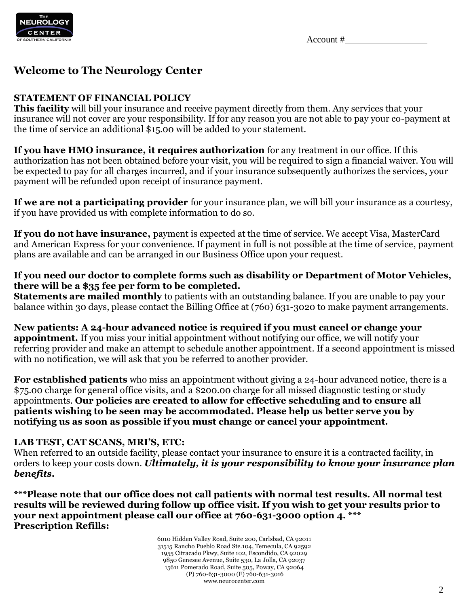

## **Welcome to The Neurology Center**

## **STATEMENT OF FINANCIAL POLICY**

**This facility** will bill your insurance and receive payment directly from them. Any services that your insurance will not cover are your responsibility. If for any reason you are not able to pay your co-payment at the time of service an additional \$15.00 will be added to your statement.

**If you have HMO insurance, it requires authorization** for any treatment in our office. If this authorization has not been obtained before your visit, you will be required to sign a financial waiver. You will be expected to pay for all charges incurred, and if your insurance subsequently authorizes the services, your payment will be refunded upon receipt of insurance payment.

**If we are not a participating provider** for your insurance plan, we will bill your insurance as a courtesy, if you have provided us with complete information to do so.

**If you do not have insurance,** payment is expected at the time of service. We accept Visa, MasterCard and American Express for your convenience. If payment in full is not possible at the time of service, payment plans are available and can be arranged in our Business Office upon your request.

## **If you need our doctor to complete forms such as disability or Department of Motor Vehicles, there will be a \$35 fee per form to be completed.**

**Statements are mailed monthly** to patients with an outstanding balance. If you are unable to pay your balance within 30 days, please contact the Billing Office at (760) 631-3020 to make payment arrangements.

**New patients: A 24-hour advanced notice is required if you must cancel or change your appointment.** If you miss your initial appointment without notifying our office, we will notify your referring provider and make an attempt to schedule another appointment. If a second appointment is missed with no notification, we will ask that you be referred to another provider.

**For established patients** who miss an appointment without giving a 24-hour advanced notice, there is a \$75.00 charge for general office visits, and a \$200.00 charge for all missed diagnostic testing or study appointments. **Our policies are created to allow for effective scheduling and to ensure all patients wishing to be seen may be accommodated. Please help us better serve you by notifying us as soon as possible if you must change or cancel your appointment.** 

## **LAB TEST, CAT SCANS, MRI'S, ETC:**

When referred to an outside facility, please contact your insurance to ensure it is a contracted facility, in orders to keep your costs down. *Ultimately, it is your responsibility to know your insurance plan benefits.*

**\*\*\*Please note that our office does not call patients with normal test results. All normal test results will be reviewed during follow up office visit. If you wish to get your results prior to your next appointment please call our office at 760-631-3000 option 4. \*\*\* Prescription Refills:**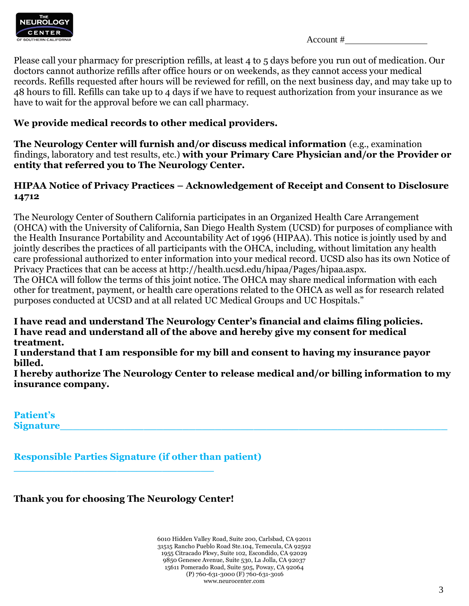

| Account # |  |
|-----------|--|
|-----------|--|

Please call your pharmacy for prescription refills, at least 4 to 5 days before you run out of medication. Our doctors cannot authorize refills after office hours or on weekends, as they cannot access your medical records. Refills requested after hours will be reviewed for refill, on the next business day, and may take up to 48 hours to fill. Refills can take up to 4 days if we have to request authorization from your insurance as we have to wait for the approval before we can call pharmacy.

## **We provide medical records to other medical providers.**

**The Neurology Center will furnish and/or discuss medical information** (e.g., examination findings, laboratory and test results, etc.) **with your Primary Care Physician and/or the Provider or entity that referred you to The Neurology Center.** 

## **HIPAA Notice of Privacy Practices – Acknowledgement of Receipt and Consent to Disclosure 14712**

The Neurology Center of Southern California participates in an Organized Health Care Arrangement (OHCA) with the University of California, San Diego Health System (UCSD) for purposes of compliance with the Health Insurance Portability and Accountability Act of 1996 (HIPAA). This notice is jointly used by and jointly describes the practices of all participants with the OHCA, including, without limitation any health care professional authorized to enter information into your medical record. UCSD also has its own Notice of Privacy Practices that can be access at http://health.ucsd.edu/hipaa/Pages/hipaa.aspx. The OHCA will follow the terms of this joint notice. The OHCA may share medical information with each other for treatment, payment, or health care operations related to the OHCA as well as for research related purposes conducted at UCSD and at all related UC Medical Groups and UC Hospitals."

**I have read and understand The Neurology Center's financial and claims filing policies. I have read and understand all of the above and hereby give my consent for medical treatment.** 

**I understand that I am responsible for my bill and consent to having my insurance payor billed.** 

**I hereby authorize The Neurology Center to release medical and/or billing information to my insurance company.** 

**Patient's Signature\_\_\_\_\_\_\_\_\_\_\_\_\_\_\_\_\_\_\_\_\_\_\_\_\_\_\_\_\_\_\_\_\_\_\_\_\_\_\_\_\_\_\_\_\_\_\_\_\_\_\_\_\_\_\_\_\_\_\_\_** 

**Responsible Parties Signature (if other than patient)** 

**Thank you for choosing The Neurology Center!**

**\_\_\_\_\_\_\_\_\_\_\_\_\_\_\_\_\_\_\_\_\_\_\_\_\_\_\_\_\_\_\_**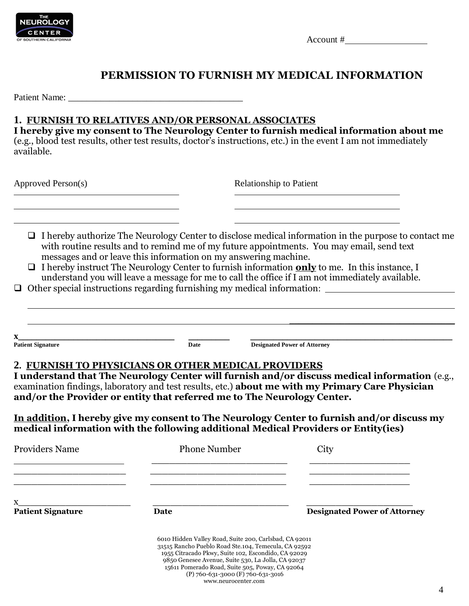

 $\text{Account } \#$ 

## **PERMISSION TO FURNISH MY MEDICAL INFORMATION**

Patient Name: \_\_\_\_\_\_\_\_\_\_\_\_\_\_\_\_\_\_\_\_\_\_\_\_\_\_\_\_\_\_\_\_\_\_\_\_\_\_

## **1. FURNISH TO RELATIVES AND/OR PERSONAL ASSOCIATES**

**I hereby give my consent to The Neurology Center to furnish medical information about me** (e.g., blood test results, other test results, doctor's instructions, etc.) in the event I am not immediately available.

Approved Person(s) Relationship to Patient

- $\Box$  I hereby authorize The Neurology Center to disclose medical information in the purpose to contact me with routine results and to remind me of my future appointments. You may email, send text messages and or leave this information on my answering machine.
- I hereby instruct The Neurology Center to furnish information **only** to me. In this instance, I understand you will leave a message for me to call the office if I am not immediately available.
- $\Box$  Other special instructions regarding furnishing my medical information:  $\Box$

| $\sqrt{2}$<br><b>Patient Signature</b> | Date | <b>Designated Power of Attorney</b> |
|----------------------------------------|------|-------------------------------------|

## **2. FURNISH TO PHYSICIANS OR OTHER MEDICAL PROVIDERS**

**I understand that The Neurology Center will furnish and/or discuss medical information** (e.g., examination findings, laboratory and test results, etc.) **about me with my Primary Care Physician and/or the Provider or entity that referred me to The Neurology Center.** 

**In addition, I hereby give my consent to The Neurology Center to furnish and/or discuss my medical information with the following additional Medical Providers or Entity(ies)**

| <b>Providers Name</b>    | <b>Phone Number</b>                                                                                                                                                                                                                                                                                                 | City                                |
|--------------------------|---------------------------------------------------------------------------------------------------------------------------------------------------------------------------------------------------------------------------------------------------------------------------------------------------------------------|-------------------------------------|
| X                        |                                                                                                                                                                                                                                                                                                                     |                                     |
| <b>Patient Signature</b> | Date                                                                                                                                                                                                                                                                                                                | <b>Designated Power of Attorney</b> |
|                          | 6010 Hidden Valley Road, Suite 200, Carlsbad, CA 92011<br>31515 Rancho Pueblo Road Ste.104, Temecula, CA 92592<br>1955 Citracado Pkwy, Suite 102, Escondido, CA 92029<br>9850 Genesee Avenue, Suite 530, La Jolla, CA 92037<br>15611 Pomerado Road, Suite 505, Poway, CA 92064<br>(P) 760-631-3000 (F) 760-631-3016 |                                     |

www.neurocenter.com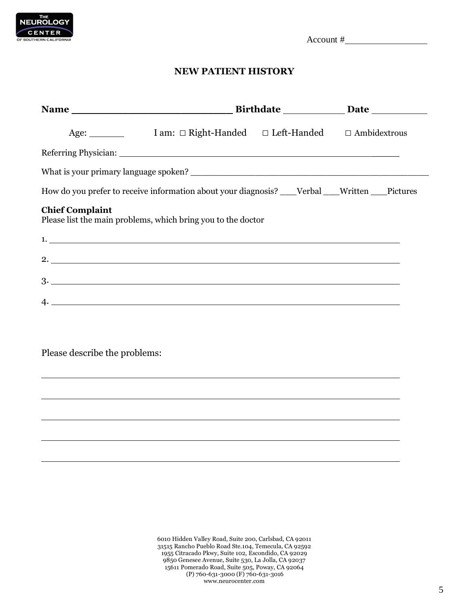

## **NEW PATIENT HISTORY**

|                               | How do you prefer to receive information about your diagnosis? ___Verbal ___Written ___Pictures |  |  |
|-------------------------------|-------------------------------------------------------------------------------------------------|--|--|
| <b>Chief Complaint</b>        | Please list the main problems, which bring you to the doctor                                    |  |  |
|                               | $1.$ $\overline{\phantom{a}}$                                                                   |  |  |
|                               |                                                                                                 |  |  |
|                               | $3.$ $\overline{\phantom{a}}$                                                                   |  |  |
|                               | 4.                                                                                              |  |  |
|                               |                                                                                                 |  |  |
| Please describe the problems: |                                                                                                 |  |  |
|                               |                                                                                                 |  |  |
|                               |                                                                                                 |  |  |
|                               |                                                                                                 |  |  |
|                               |                                                                                                 |  |  |
|                               |                                                                                                 |  |  |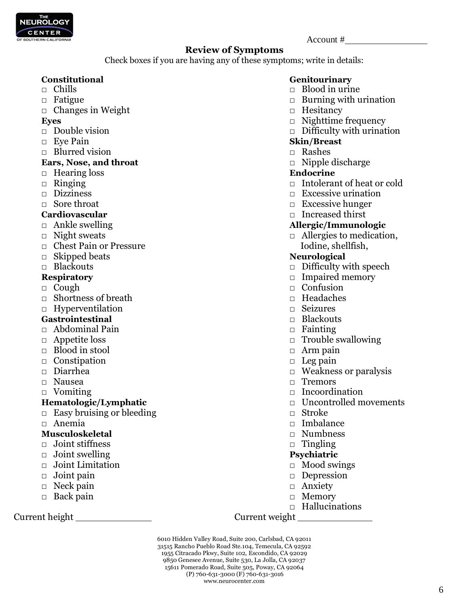

## **Review of Symptoms**

Check boxes if you are having any of these symptoms; write in details:

- 
- 
- □ Changes in Weight □ Hesitancy

- 
- 
- □ Blurred vision □ Rashes

## **Ears, Nose, and throat** □ Nipple discharge

- □ Hearing loss **Endocrine**
- 
- 
- 

- 
- 
- □ Chest Pain or Pressure Iodine, shellfish,
- □ Skipped beats **Neurological**
- 

- 
- □ Shortness of breath □ Headaches
- □ Hyperventilation □ Seizures

## **Gastrointestinal** □ Blackouts

- □ Abdominal Pain □ Fainting □ Fainting
- 
- □ Blood in stool □ Arm pain
- □ Constipation □ Leg pain
- 
- 
- 

- □ Easy bruising or bleeding □ Stroke
- 

## **Musculoskeletal** □ Numbness

- □ Joint stiffness □ Tingling
- □ Joint swelling **Psychiatric**
- □ Joint Limitation □ Nood swings
- 
- □ Neck pain □ Anxiety
- □ Back pain □ Nemory

Current height Current weight

## Constitutional **Genitourinary**

- □ Chills □ Blood in urine
- □ Fatigue □ Burning with urination
	-
- **Eyes** □ Nighttime frequency
- □ Double vision □ Difficulty with urination

## □ Eye Pain **Skin/Breast**

- 
- 

- □ Ringing □ Intolerant of heat or cold
- □ Dizziness □ Excessive urination
- □ Sore throat □ Excessive hunger
- **Cardiovascular** □ Increased thirst

## □ Ankle swelling **Allergic/Immunologic**

□ Night sweats □ Allergies to medication,

- □ Blackouts □ Difficulty with speech
- **Respiratory** □ Impaired memory
- □ Cough □ Confusion □ Confusion □ Confusion □ Confusion □ Confusion □ Confusion □
	-
	-
	-
	-
- □ Appetite loss □ Trouble swallowing
	-
	-
- □ Diarrhea □ Weakness or paralysis
- □ Nausea □ Tremors
- □ Vomiting □ Incoordination
- **Hematologic/Lymphatic** □ □ Uncontrolled movements
	-
- □ Anemia □ Imbalance
	-
	-

- 
- □ Joint pain □ Depression
	-
	-
	- $\Box$  Hallucinations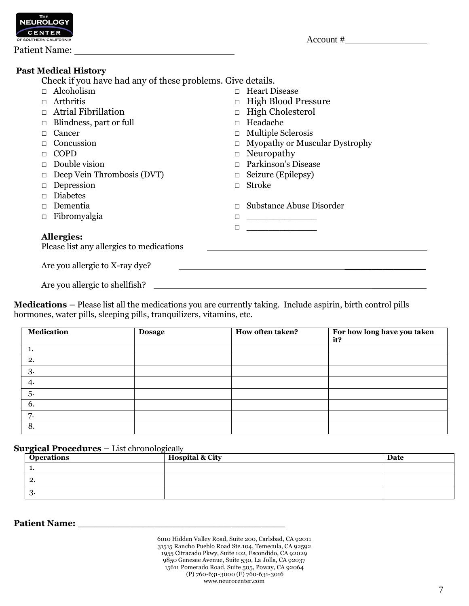

Patient Name:

## **Past Medical History**

Check if you have had any of these problems. Give details.

| Alcoholism                               | <b>Heart Disease</b>                |
|------------------------------------------|-------------------------------------|
| Arthritis                                | <b>High Blood Pressure</b>          |
| <b>Atrial Fibrillation</b>               | High Cholesterol                    |
| Blindness, part or full                  | Headache                            |
| Cancer                                   | <b>Multiple Sclerosis</b><br>$\Box$ |
| Concussion                               | Myopathy or Muscular Dystrophy      |
| COPD                                     | Neuropathy                          |
| Double vision                            | Parkinson's Disease                 |
| Deep Vein Thrombosis (DVT)               | Seizure (Epilepsy)                  |
| Depression                               | <b>Stroke</b><br>П                  |
| <b>Diabetes</b>                          |                                     |
| Dementia                                 | Substance Abuse Disorder            |
| Fibromyalgia                             | □                                   |
|                                          | П                                   |
| <b>Allergies:</b>                        |                                     |
| Please list any allergies to medications |                                     |
| Are you allergic to X-ray dye?           |                                     |
| Are you allergic to shellfish?           |                                     |

**Medications –** Please list all the medications you are currently taking. Include aspirin, birth control pills hormones, water pills, sleeping pills, tranquilizers, vitamins, etc.

| <b>Medication</b> | <b>Dosage</b> | How often taken? | For how long have you taken<br>it? |
|-------------------|---------------|------------------|------------------------------------|
|                   |               |                  |                                    |
| 2.                |               |                  |                                    |
| 3.                |               |                  |                                    |
| 4.                |               |                  |                                    |
| 5.                |               |                  |                                    |
| 6.                |               |                  |                                    |
| 7.                |               |                  |                                    |
| 8.                |               |                  |                                    |

**Surgical Procedures – List chronologically** 

| <b>Operations</b> | <b>Hospital &amp; City</b> | Date |
|-------------------|----------------------------|------|
| .,                |                            |      |
| <u>.</u>          |                            |      |
| -3.               |                            |      |

### **Patient Name: \_\_\_\_\_\_\_\_\_\_\_\_\_\_\_\_\_\_\_\_\_\_\_\_\_\_\_\_\_\_\_\_\_\_\_**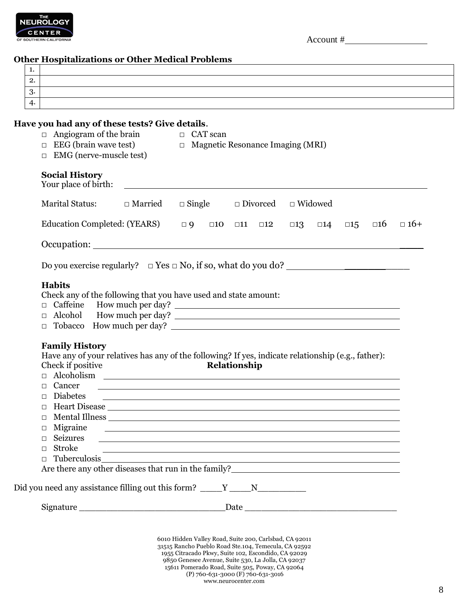

| Account # |
|-----------|
|-----------|

## **Other Hospitalizations or Other Medical Problems**

| . .             |  |
|-----------------|--|
| റ<br><u>.</u>   |  |
| റ<br>$\cdot$ ). |  |
| 4.              |  |

### **Have you had any of these tests? Give details**.

| <b>Marital Status:</b><br>$\Box$ Married                   |                                                                                                                                                                                                                                      |
|------------------------------------------------------------|--------------------------------------------------------------------------------------------------------------------------------------------------------------------------------------------------------------------------------------|
|                                                            | $\Box$ Single<br>$\Box$ Divorced<br>$\Box$ Widowed                                                                                                                                                                                   |
| Education Completed: (YEARS)                               | $\Box$ $9$ $\Box$ $10$ $\Box$ $11$<br>$\square 12$<br>$\square 13$<br>$\square 16$<br>$\square 14$<br>$\square 15$                                                                                                                   |
|                                                            |                                                                                                                                                                                                                                      |
|                                                            | Do you exercise regularly? $\square$ Yes $\square$ No, if so, what do you do?                                                                                                                                                        |
| <b>Habits</b>                                              |                                                                                                                                                                                                                                      |
|                                                            | Check any of the following that you have used and state amount:                                                                                                                                                                      |
|                                                            |                                                                                                                                                                                                                                      |
| $\Box$                                                     | Alcohol How much per day?                                                                                                                                                                                                            |
| $\Box$                                                     | Tobacco How much per day?                                                                                                                                                                                                            |
|                                                            | Have any of your relatives has any of the following? If yes, indicate relationship (e.g., father):                                                                                                                                   |
| <b>Family History</b><br>Check if positive                 | Relationship                                                                                                                                                                                                                         |
| Cancer<br>П                                                | <u> 1989 - Johann Stoff, deutscher Stoffen und der Stoffen und der Stoffen und der Stoffen und der Stoffen und der</u>                                                                                                               |
| <b>Diabetes</b><br>$\Box$                                  | <u> 1989 - Johann Stoff, deutscher Stoffen und der Stoffen und der Stoffen und der Stoffen und der Stoffen und de</u>                                                                                                                |
| П.                                                         |                                                                                                                                                                                                                                      |
| □                                                          |                                                                                                                                                                                                                                      |
| Migraine<br>□                                              | <u> 1990 - Johann Stoff, deutscher Stoffen und der Stoffen und der Stoffen und der Stoffen und der Stoffen und der Stoffen und der Stoffen und der Stoffen und der Stoffen und der Stoffen und der Stoffen und der Stoffen und d</u> |
| Seizures<br>$\Box$<br>П                                    | ,我们也不会有什么。""我们的人,我们也不会有什么?""我们的人,我们也不会有什么?""我们的人,我们也不会有什么?""我们的人,我们也不会有什么?""我们的人                                                                                                                                                     |
| <b>Stroke</b>                                              | Tuberculosis and the set of the set of the set of the set of the set of the set of the set of the set of the set of the set of the set of the set of the set of the set of the set of the set of the set of the set of the set       |
| □<br>Are there any other diseases that run in the family?_ |                                                                                                                                                                                                                                      |
|                                                            |                                                                                                                                                                                                                                      |
|                                                            | Did you need any assistance filling out this form? _____Y _____N________________                                                                                                                                                     |

(P) 760-631-3000 (F) 760-631-3016 www.neurocenter.com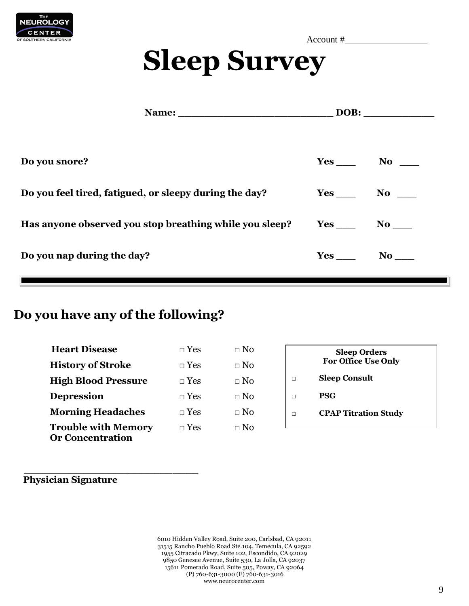

# **Sleep Survey**

|                                                         |                 | DOB:            |  |  |
|---------------------------------------------------------|-----------------|-----------------|--|--|
|                                                         |                 |                 |  |  |
| Do you snore?                                           |                 | $Yes$ No $\_\_$ |  |  |
| Do you feel tired, fatigued, or sleepy during the day?  | $Yes$ No $N$    |                 |  |  |
| Has anyone observed you stop breathing while you sleep? | $Yes$ No $\_\_$ |                 |  |  |
| Do you nap during the day?                              |                 | $\bf{No}$       |  |  |
|                                                         |                 |                 |  |  |

## **Do you have any of the following?**

**\_\_\_\_\_\_\_\_\_\_\_\_\_\_\_\_\_\_\_\_\_\_\_\_\_\_\_**

| <b>Heart Disease</b>                                  | $\Box$ Yes | $\Box$ No |   | <b>Sleep Orders</b>         |
|-------------------------------------------------------|------------|-----------|---|-----------------------------|
| <b>History of Stroke</b>                              | $\Box$ Yes | $\Box$ No |   | <b>For Office Use Only</b>  |
| <b>High Blood Pressure</b>                            | $\Box$ Yes | $\Box$ No |   | <b>Sleep Consult</b>        |
| <b>Depression</b>                                     | $\Box$ Yes | $\Box$ No | П | <b>PSG</b>                  |
| <b>Morning Headaches</b>                              | $\Box$ Yes | $\Box$ No | П | <b>CPAP Titration Study</b> |
| <b>Trouble with Memory</b><br><b>Or Concentration</b> | $\Box$ Yes | $\Box$ No |   |                             |

**Physician Signature**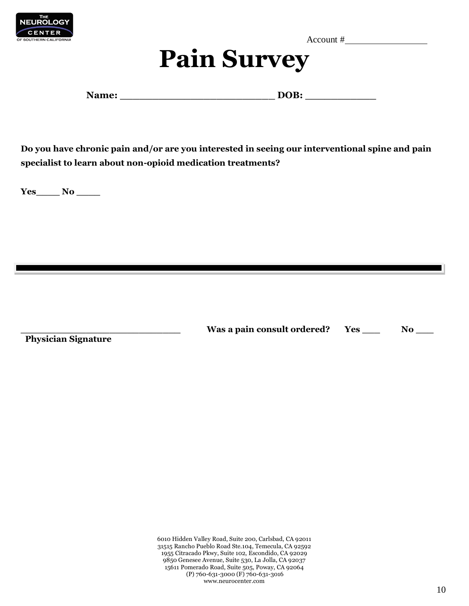

# **Pain Survey**

**Name: \_\_\_\_\_\_\_\_\_\_\_\_\_\_\_\_\_\_\_\_\_\_\_\_ DOB: \_\_\_\_\_\_\_\_\_\_\_** 

**Do you have chronic pain and/or are you interested in seeing our interventional spine and pain specialist to learn about non-opioid medication treatments?**

**Yes\_\_\_\_ No \_\_\_\_**

 **Physician Signature** 

Was a pain consult ordered? Yes \_\_\_ No \_\_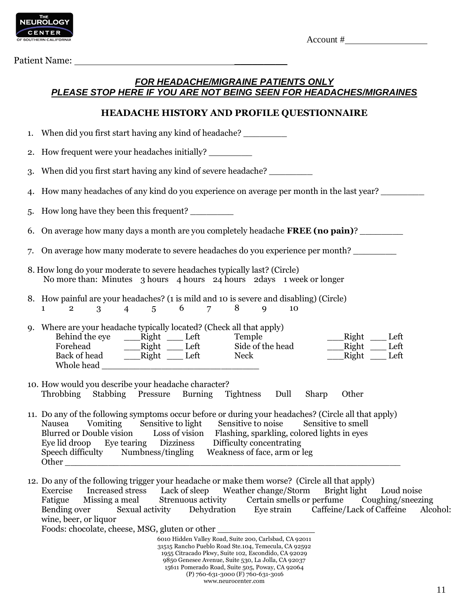

Patient Name:

## *FOR HEADACHE/MIGRAINE PATIENTS ONLY PLEASE STOP HERE IF YOU ARE NOT BEING SEEN FOR HEADACHES/MIGRAINES*

## **HEADACHE HISTORY AND PROFILE QUESTIONNAIRE**

| 1. | When did you first start having any kind of headache?                                                                                                                                                                                                                                                                                                                                                         |
|----|---------------------------------------------------------------------------------------------------------------------------------------------------------------------------------------------------------------------------------------------------------------------------------------------------------------------------------------------------------------------------------------------------------------|
|    | 2. How frequent were your headaches initially?                                                                                                                                                                                                                                                                                                                                                                |
| 3. | When did you first start having any kind of severe headache?                                                                                                                                                                                                                                                                                                                                                  |
| 4. | How many headaches of any kind do you experience on average per month in the last year?                                                                                                                                                                                                                                                                                                                       |
| 5. | How long have they been this frequent?                                                                                                                                                                                                                                                                                                                                                                        |
|    | 6. On average how many days a month are you completely headache <b>FREE</b> (no pain)?                                                                                                                                                                                                                                                                                                                        |
| 7. | On average how many moderate to severe headaches do you experience per month?                                                                                                                                                                                                                                                                                                                                 |
|    | 8. How long do your moderate to severe headaches typically last? (Circle)<br>No more than: Minutes 3 hours 4 hours 24 hours 2 days 1 week or longer                                                                                                                                                                                                                                                           |
|    | 8. How painful are your headaches? (1 is mild and 10 is severe and disabling) (Circle)<br>$3 \t 4 \t 5 \t 6 \t 7 \t 8$<br>$\mathbf{Q}$<br>$\overline{2}$<br>10<br>$\mathbf{1}$                                                                                                                                                                                                                                |
|    | 9. Where are your headache typically located? (Check all that apply)<br>Behind the eye ______Right ______ Left<br>Temple<br>___Right ____Left<br>___Right ___Left<br>Back of head _________Right _______ Left<br>Right Left<br>Neck                                                                                                                                                                           |
|    | 10. How would you describe your headache character?<br>Throbbing Stabbing Pressure Burning Tightness Dull<br>Sharp<br>Other                                                                                                                                                                                                                                                                                   |
|    | 11. Do any of the following symptoms occur before or during your headaches? (Circle all that apply)<br>Nausea Vomiting Sensitive to light Sensitive to noise<br>Sensitive to smell<br>Blurred or Double vision Loss of vision Flashing, sparkling, colored lights in eyes<br>Eye lid droop Eye tearing Dizziness Difficulty concentrating<br>Speech difficulty Numbness/tingling Weakness of face, arm or leg |

12. Do any of the following trigger your headache or make them worse? (Circle all that apply) Exercise Increased stress Lack of sleep Weather change/Storm Bright light Loud noise<br>Fatigue Missing a meal Strenuous activity Certain smells or perfume Coughing/sneezi Fatigue Missing a meal Strenuous activity Certain smells or perfume Coughing/sneezing<br>Bending over Sexual activity Dehydration Eve strain Caffeine/Lack of Caffeine Alco Sexual activity Dehydration Eye strain Caffeine/Lack of Caffeine Alcohol: wine, beer, or liquor

Foods: chocolate, cheese, MSG, gluten or other \_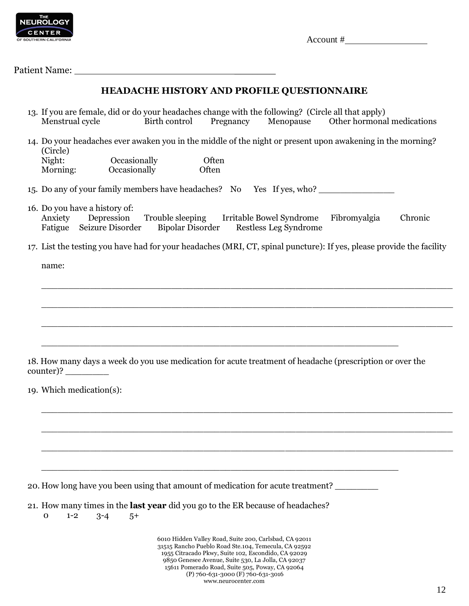

Patient Name:

## **HEADACHE HISTORY AND PROFILE QUESTIONNAIRE**

- 13. If you are female, did or do your headaches change with the following? (Circle all that apply) Menstrual cycle Birth control Pregnancy Menopause Other hormonal medications
- 14. Do your headaches ever awaken you in the middle of the night or present upon awakening in the morning? (Circle) Night: Occasionally Often<br>Morning: Occasionally Often Occasionally Often
- 15. Do any of your family members have headaches? No Yes If yes, who? \_\_\_\_\_\_\_\_\_\_\_\_\_\_
- 16. Do you have a history of: Anxiety Depression Trouble sleeping Irritable Bowel Syndrome Fibromyalgia Chronic Fatigue Seizure Disorder Bipolar Disorder Restless Leg Syndrome
- 17. List the testing you have had for your headaches (MRI, CT, spinal puncture): If yes, please provide the facility

\_\_\_\_\_\_\_\_\_\_\_\_\_\_\_\_\_\_\_\_\_\_\_\_\_\_\_\_\_\_\_\_\_\_\_\_\_\_\_\_\_\_\_\_\_\_\_\_\_\_\_\_\_\_\_\_\_\_\_\_\_\_\_\_\_\_\_\_\_\_\_\_\_\_\_\_

\_\_\_\_\_\_\_\_\_\_\_\_\_\_\_\_\_\_\_\_\_\_\_\_\_\_\_\_\_\_\_\_\_\_\_\_\_\_\_\_\_\_\_\_\_\_\_\_\_\_\_\_\_\_\_\_\_\_\_\_\_\_\_\_\_\_\_\_\_\_\_\_\_\_\_\_

\_\_\_\_\_\_\_\_\_\_\_\_\_\_\_\_\_\_\_\_\_\_\_\_\_\_\_\_\_\_\_\_\_\_\_\_\_\_\_\_\_\_\_\_\_\_\_\_\_\_\_\_\_\_\_\_\_\_\_\_\_\_\_\_\_\_\_\_\_\_\_\_\_\_\_\_

\_\_\_\_\_\_\_\_\_\_\_\_\_\_\_\_\_\_\_\_\_\_\_\_\_\_\_\_\_\_\_\_\_\_\_\_\_\_\_\_\_\_\_\_\_\_\_\_\_\_\_\_\_\_\_\_\_\_\_\_\_\_\_\_\_\_\_\_\_\_\_\_\_\_\_\_

\_\_\_\_\_\_\_\_\_\_\_\_\_\_\_\_\_\_\_\_\_\_\_\_\_\_\_\_\_\_\_\_\_\_\_\_\_\_\_\_\_\_\_\_\_\_\_\_\_\_\_\_\_\_\_\_\_\_\_\_\_\_\_\_\_\_\_\_\_\_\_\_\_\_\_\_

\_\_\_\_\_\_\_\_\_\_\_\_\_\_\_\_\_\_\_\_\_\_\_\_\_\_\_\_\_\_\_\_\_\_\_\_\_\_\_\_\_\_\_\_\_\_\_\_\_\_\_\_\_\_\_\_\_\_\_\_\_\_\_\_\_\_\_\_\_\_\_\_\_\_\_\_

name:

18. How many days a week do you use medication for acute treatment of headache (prescription or over the counter)? \_\_\_\_\_\_\_\_

\_\_\_\_\_\_\_\_\_\_\_\_\_\_\_\_\_\_\_\_\_\_\_\_\_\_\_\_\_\_\_\_\_\_\_\_\_\_\_\_\_\_\_\_\_\_\_\_\_\_\_\_\_\_\_\_\_\_\_\_\_\_\_\_\_\_

\_\_\_\_\_\_\_\_\_\_\_\_\_\_\_\_\_\_\_\_\_\_\_\_\_\_\_\_\_\_\_\_\_\_\_\_\_\_\_\_\_\_\_\_\_\_\_\_\_\_\_\_\_\_\_\_\_\_\_\_\_\_\_\_\_\_

19. Which medication(s):

20. How long have you been using that amount of medication for acute treatment?

21. How many times in the **last year** did you go to the ER because of headaches?

0 1-2 3-4 5+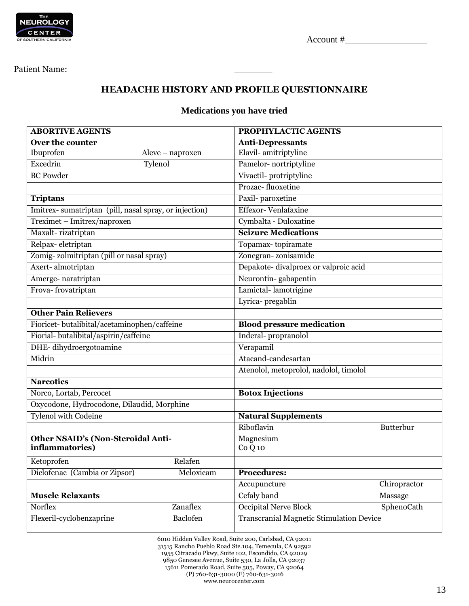

Patient Name: \_\_\_\_\_\_\_

## **HEADACHE HISTORY AND PROFILE QUESTIONNAIRE**

## **Medications you have tried**

| <b>ABORTIVE AGENTS</b>                                |                  | PROPHYLACTIC AGENTS                             |              |  |  |  |
|-------------------------------------------------------|------------------|-------------------------------------------------|--------------|--|--|--|
| Over the counter                                      |                  | <b>Anti-Depressants</b>                         |              |  |  |  |
| Ibuprofen                                             | Aleve - naproxen | Elavil-amitriptyline                            |              |  |  |  |
| Excedrin<br>Tylenol                                   |                  | Pamelor-nortriptyline                           |              |  |  |  |
| <b>BC Powder</b>                                      |                  | Vivactil-protriptyline                          |              |  |  |  |
|                                                       |                  | Prozac-fluoxetine                               |              |  |  |  |
| <b>Triptans</b>                                       |                  | Paxil-paroxetine                                |              |  |  |  |
| Imitrex-sumatriptan (pill, nasal spray, or injection) |                  | <b>Effexor-Venlafaxine</b>                      |              |  |  |  |
| Treximet - Imitrex/naproxen                           |                  | Cymbalta - Duloxatine                           |              |  |  |  |
| Maxalt-rizatriptan                                    |                  | <b>Seizure Medications</b>                      |              |  |  |  |
| Relpax-eletriptan                                     |                  | Topamax-topiramate                              |              |  |  |  |
| Zomig-zolmitriptan (pill or nasal spray)              |                  | Zonegran-zonisamide                             |              |  |  |  |
| Axert-almotriptan                                     |                  | Depakote- divalproex or valproic acid           |              |  |  |  |
| Amerge-naratriptan                                    |                  | Neurontin-gabapentin                            |              |  |  |  |
| Frova-frovatriptan                                    |                  | Lamictal-lamotrigine                            |              |  |  |  |
|                                                       |                  | Lyrica- pregablin                               |              |  |  |  |
| <b>Other Pain Relievers</b>                           |                  |                                                 |              |  |  |  |
| Fioricet-butalibital/acetaminophen/caffeine           |                  | <b>Blood pressure medication</b>                |              |  |  |  |
| Fiorial-butalibital/aspirin/caffeine                  |                  | Inderal-propranolol                             |              |  |  |  |
| DHE-dihydroergotoamine                                |                  | Verapamil                                       |              |  |  |  |
| Midrin                                                |                  | Atacand-candesartan                             |              |  |  |  |
|                                                       |                  | Atenolol, metoprolol, nadolol, timolol          |              |  |  |  |
| <b>Narcotics</b>                                      |                  |                                                 |              |  |  |  |
| Norco, Lortab, Percocet                               |                  | <b>Botox Injections</b>                         |              |  |  |  |
| Oxycodone, Hydrocodone, Dilaudid, Morphine            |                  |                                                 |              |  |  |  |
| <b>Tylenol with Codeine</b>                           |                  | <b>Natural Supplements</b>                      |              |  |  |  |
|                                                       |                  | Riboflavin                                      | Butterbur    |  |  |  |
| <b>Other NSAID's (Non-Steroidal Anti-</b>             |                  | Magnesium                                       |              |  |  |  |
| inflammatories)                                       |                  | CoQ10                                           |              |  |  |  |
| Ketoprofen                                            | Relafen          |                                                 |              |  |  |  |
| Diclofenac (Cambia or Zipsor)                         | Meloxicam        | <b>Procedures:</b>                              |              |  |  |  |
|                                                       |                  | Accupuncture                                    | Chiropractor |  |  |  |
| <b>Muscle Relaxants</b>                               |                  | Cefaly band                                     | Massage      |  |  |  |
| Norflex                                               | Zanaflex         | Occipital Nerve Block                           | SphenoCath   |  |  |  |
| Flexeril-cyclobenzaprine                              | Baclofen         | <b>Transcranial Magnetic Stimulation Device</b> |              |  |  |  |
|                                                       |                  |                                                 |              |  |  |  |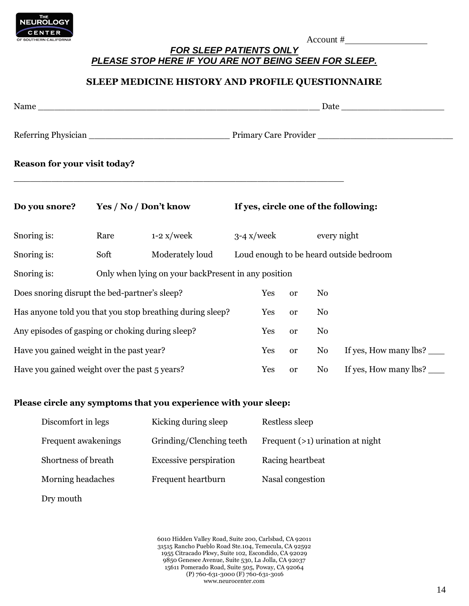

## *FOR SLEEP PATIENTS ONLY PLEASE STOP HERE IF YOU ARE NOT BEING SEEN FOR SLEEP.*

## **SLEEP MEDICINE HISTORY AND PROFILE QUESTIONNAIRE**

| Name $\frac{1}{2}$                                        |                                                     |                                      | Date and the second second second second second second second second second second second second second second second second second second second second second second second second second second second second second second |               |    |                                         |  |
|-----------------------------------------------------------|-----------------------------------------------------|--------------------------------------|--------------------------------------------------------------------------------------------------------------------------------------------------------------------------------------------------------------------------------|---------------|----|-----------------------------------------|--|
|                                                           |                                                     |                                      |                                                                                                                                                                                                                                |               |    |                                         |  |
| Reason for your visit today?                              |                                                     |                                      |                                                                                                                                                                                                                                |               |    |                                         |  |
| <b>Yes / No / Don't know</b><br>Do you snore?             |                                                     | If yes, circle one of the following: |                                                                                                                                                                                                                                |               |    |                                         |  |
| Snoring is:                                               | Rare                                                | $1-2$ x/week                         | $3-4$ x/week                                                                                                                                                                                                                   |               |    | every night                             |  |
| Snoring is:                                               | Soft                                                | Moderately loud                      |                                                                                                                                                                                                                                |               |    | Loud enough to be heard outside bedroom |  |
| Snoring is:                                               | Only when lying on your backPresent in any position |                                      |                                                                                                                                                                                                                                |               |    |                                         |  |
| Does snoring disrupt the bed-partner's sleep?             |                                                     |                                      | Yes                                                                                                                                                                                                                            | or            | No |                                         |  |
| Has anyone told you that you stop breathing during sleep? |                                                     |                                      | Yes                                                                                                                                                                                                                            | <sub>or</sub> | No |                                         |  |
| Any episodes of gasping or choking during sleep?          |                                                     |                                      | Yes                                                                                                                                                                                                                            | <b>or</b>     | No |                                         |  |
| Have you gained weight in the past year?                  |                                                     |                                      | Yes                                                                                                                                                                                                                            | <b>or</b>     | No | If yes, How many $\ln 2$                |  |
| Have you gained weight over the past 5 years?             |                                                     |                                      | Yes                                                                                                                                                                                                                            | <sub>or</sub> | No | If yes, How many lbs?                   |  |

### **Please circle any symptoms that you experience with your sleep:**

| Discomfort in legs  | Kicking during sleep          | Restless sleep                     |
|---------------------|-------------------------------|------------------------------------|
| Frequent awakenings | Grinding/Clenching teeth      | Frequent $(>1)$ urination at night |
| Shortness of breath | <b>Excessive perspiration</b> | Racing heartbeat                   |
| Morning headaches   | Frequent heartburn            | Nasal congestion                   |
|                     |                               |                                    |

Dry mouth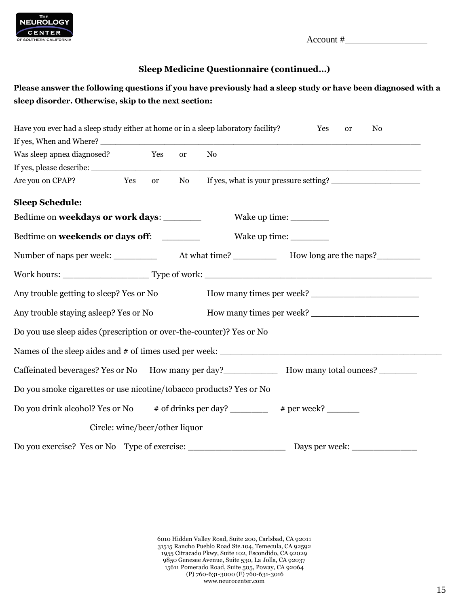

## **Sleep Medicine Questionnaire (continued…)**

## **Please answer the following questions if you have previously had a sleep study or have been diagnosed with a sleep disorder. Otherwise, skip to the next section:**

| Have you ever had a sleep study either at home or in a sleep laboratory facility? |     |               |                                |    | No<br>Yes<br><b>or</b>                                                                              |
|-----------------------------------------------------------------------------------|-----|---------------|--------------------------------|----|-----------------------------------------------------------------------------------------------------|
|                                                                                   |     |               |                                |    |                                                                                                     |
| Was sleep apnea diagnosed? Yes                                                    |     |               | <sub>or</sub>                  | No |                                                                                                     |
|                                                                                   |     |               |                                |    |                                                                                                     |
| Are you on CPAP?                                                                  | Yes | <sub>or</sub> | No                             |    | If yes, what is your pressure setting?                                                              |
| <b>Sleep Schedule:</b>                                                            |     |               |                                |    |                                                                                                     |
| Bedtime on weekdays or work days:                                                 |     |               |                                |    |                                                                                                     |
| Bedtime on weekends or days off:                                                  |     |               |                                |    | Wake up time: _________                                                                             |
|                                                                                   |     |               |                                |    | Number of naps per week: _____________ At what time? _____________ How long are the naps? _________ |
|                                                                                   |     |               |                                |    |                                                                                                     |
| Any trouble getting to sleep? Yes or No                                           |     |               |                                |    |                                                                                                     |
| Any trouble staying asleep? Yes or No                                             |     |               |                                |    |                                                                                                     |
| Do you use sleep aides (prescription or over-the-counter)? Yes or No              |     |               |                                |    |                                                                                                     |
|                                                                                   |     |               |                                |    |                                                                                                     |
|                                                                                   |     |               |                                |    | Caffeinated beverages? Yes or No How many per day?<br>How many total ounces?                        |
| Do you smoke cigarettes or use nicotine/tobacco products? Yes or No               |     |               |                                |    |                                                                                                     |
| Do you drink alcohol? Yes or No # of drinks per day? _________ # per week? ______ |     |               |                                |    |                                                                                                     |
|                                                                                   |     |               | Circle: wine/beer/other liquor |    |                                                                                                     |
| Do you exercise? Yes or No Type of exercise: ___________________________________  |     |               |                                |    |                                                                                                     |